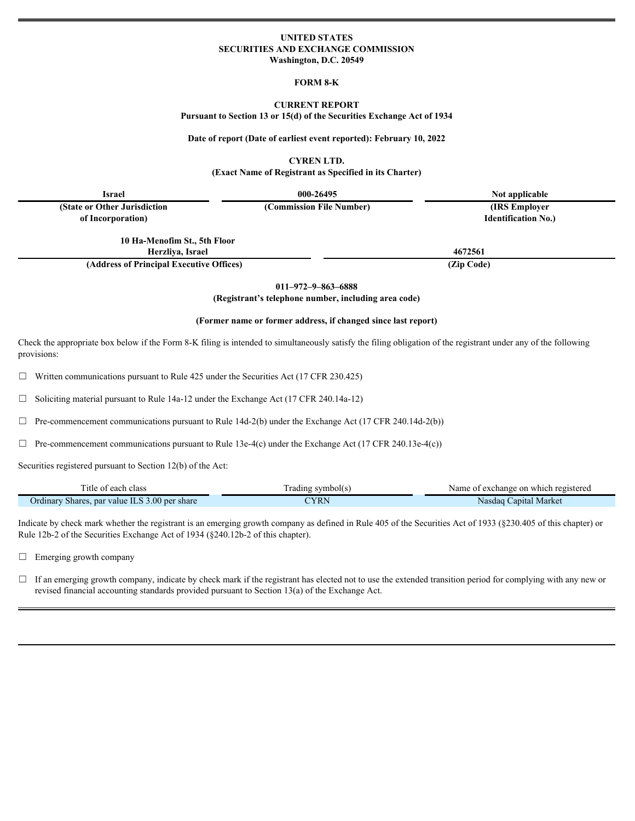### **UNITED STATES SECURITIES AND EXCHANGE COMMISSION Washington, D.C. 20549**

#### **FORM 8-K**

#### **CURRENT REPORT**

**Pursuant to Section 13 or 15(d) of the Securities Exchange Act of 1934**

#### Date of report (Date of earliest event reported): February 10, **2022**

**CYREN LTD.**

**(Exact Name of Registrant as Specified in its Charter)**

| <b>Israel</b>                | 000-26495                | Not applicable             |  |
|------------------------------|--------------------------|----------------------------|--|
| (State or Other Jurisdiction | (Commission File Number) | (IRS Employer)             |  |
| of Incorporation)            |                          | <b>Identification No.)</b> |  |
| 10 Ha-Menofim St., 5th Floor |                          |                            |  |
|                              |                          |                            |  |
| Herzliya, Israel             |                          | 4672561                    |  |

**(Address of Principal Executive Offices) (Zip** 

**Code)**

**011–972–9–863–6888**

**(Registrant's telephone number, including area code)**

## **(Former name or former address, if changed since last report)**

Check the appropriate box below if the Form 8-K filing is intended to simultaneously satisfy the filing obligation of the registrant under any of the following provisions:

 $\Box$  Written communications pursuant to Rule 425 under the Securities Act (17 CFR 230.425)

 $\Box$  Soliciting material pursuant to Rule 14a-12 under the Exchange Act (17 CFR 240.14a-12)

 $\Box$  Pre-commencement communications pursuant to Rule 14d-2(b) under the Exchange Act (17 CFR 240.14d-2(b))

 $\Box$  Pre-commencement communications pursuant to Rule 13e-4(c) under the Exchange Act (17 CFR 240.13e-4(c))

Securities registered pursuant to Section 12(b) of the Act:

| itle of each class.                                                    | Frading symbol(s) | change on which registered<br>Name<br>of exchang |
|------------------------------------------------------------------------|-------------------|--------------------------------------------------|
| value ILS 3.00 per share<br>$\sim$<br>Ordinary<br>. par v<br>/ Shares. | <b>TYRN</b>       | Nasdaq Capital Market                            |

Indicate by check mark whether the registrant is an emerging growth company as defined in Rule 405 of the Securities Act of 1933 (§230.405 of this chapter) or Rule 12b-2 of the Securities Exchange Act of 1934 (§240.12b-2 of this chapter).

 $\Box$  Emerging growth company

 $\Box$  If an emerging growth company, indicate by check mark if the registrant has elected not to use the extended transition period for complying with any new or revised financial accounting standards provided pursuant to Section 13(a) of the Exchange Act.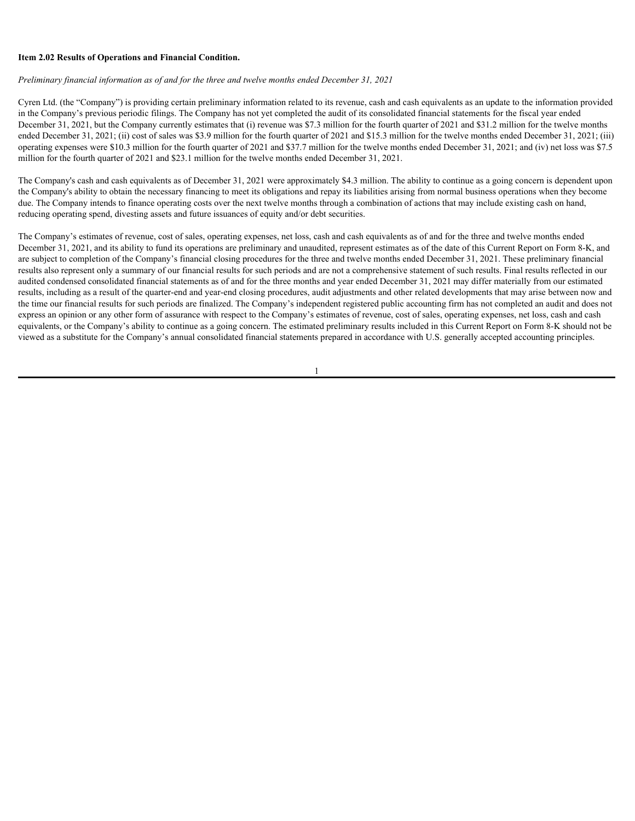## **Item 2.02 Results of Operations and Financial Condition.**

*Preliminary financial information as of and for the three and twelve months ended December 31, 2021*

Cyren Ltd. (the "Company") is providing certain preliminary information related to its revenue, cash and cash equivalents as an update to the information provided in the Company's previous periodic filings. The Company has not yet completed the audit of its consolidated financial statements for the fiscal year ended December 31, 2021, but the Company currently estimates that (i) revenue was \$7.3 million for the fourth quarter of 2021 and \$31.2 million for the twelve months ended December 31, 2021; (ii) cost of sales was \$3.9 million for the fourth quarter of 2021 and \$15.3 million for the twelve months ended December 31, 2021; (iii) operating expenses were \$10.3 million for the fourth quarter of 2021 and \$37.7 million for the twelve months ended December 31, 2021; and (iv) net loss was \$7.5 million for the fourth quarter of 2021 and \$23.1 million for the twelve months ended December 31, 2021.

The Company's cash and cash equivalents as of December 31, 2021 were approximately \$4.3 million. The ability to continue as a going concern is dependent upon the Company's ability to obtain the necessary financing to meet its obligations and repay its liabilities arising from normal business operations when they become due. The Company intends to finance operating costs over the next twelve months through a combination of actions that may include existing cash on hand, reducing operating spend, divesting assets and future issuances of equity and/or debt securities.

The Company's estimates of revenue, cost of sales, operating expenses, net loss, cash and cash equivalents as of and for the three and twelve months ended December 31, 2021, and its ability to fund its operations are preliminary and unaudited, represent estimates as of the date of this Current Report on Form 8-K, and are subject to completion of the Company's financial closing procedures for the three and twelve months ended December 31, 2021. These preliminary financial results also represent only a summary of our financial results for such periods and are not a comprehensive statement of such results. Final results reflected in our audited condensed consolidated financial statements as of and for the three months and year ended December 31, 2021 may differ materially from our estimated results, including as a result of the quarter-end and year-end closing procedures, audit adjustments and other related developments that may arise between now and the time our financial results for such periods are finalized. The Company's independent registered public accounting firm has not completed an audit and does not express an opinion or any other form of assurance with respect to the Company's estimates of revenue, cost of sales, operating expenses, net loss, cash and cash equivalents, or the Company's ability to continue as a going concern. The estimated preliminary results included in this Current Report on Form 8-K should not be viewed as a substitute for the Company's annual consolidated financial statements prepared in accordance with U.S. generally accepted accounting principles.

1